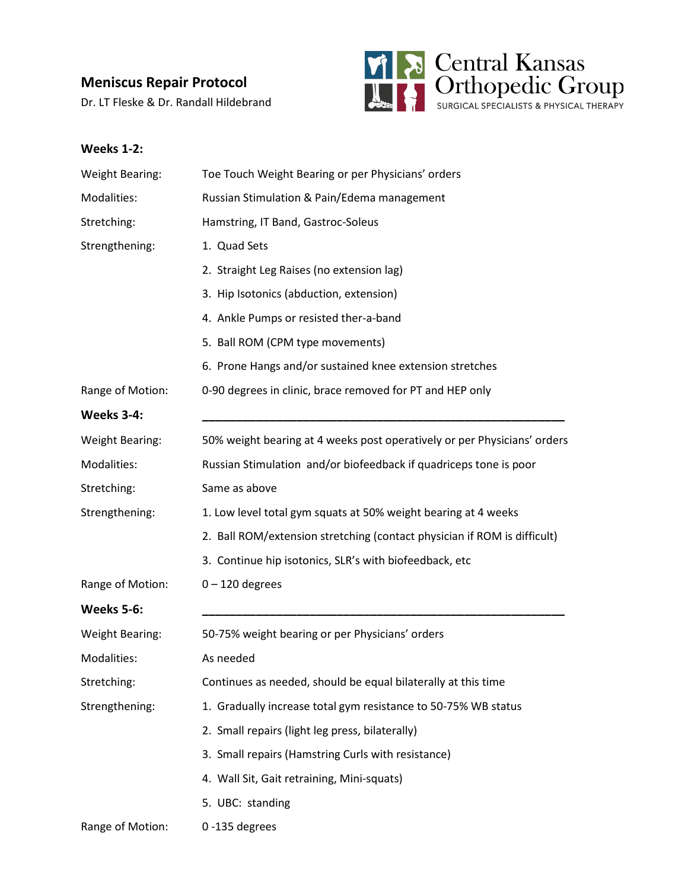# **Meniscus Repair Protocol**

Dr. LT Fleske & Dr. Randall Hildebrand



### **Weeks 1-2:**

| <b>Weight Bearing:</b> | Toe Touch Weight Bearing or per Physicians' orders                       |
|------------------------|--------------------------------------------------------------------------|
| Modalities:            | Russian Stimulation & Pain/Edema management                              |
| Stretching:            | Hamstring, IT Band, Gastroc-Soleus                                       |
| Strengthening:         | 1. Quad Sets                                                             |
|                        | 2. Straight Leg Raises (no extension lag)                                |
|                        | 3. Hip Isotonics (abduction, extension)                                  |
|                        | 4. Ankle Pumps or resisted ther-a-band                                   |
|                        | 5. Ball ROM (CPM type movements)                                         |
|                        | 6. Prone Hangs and/or sustained knee extension stretches                 |
| Range of Motion:       | 0-90 degrees in clinic, brace removed for PT and HEP only                |
| <b>Weeks 3-4:</b>      |                                                                          |
| <b>Weight Bearing:</b> | 50% weight bearing at 4 weeks post operatively or per Physicians' orders |
| Modalities:            | Russian Stimulation and/or biofeedback if quadriceps tone is poor        |
| Stretching:            | Same as above                                                            |
| Strengthening:         | 1. Low level total gym squats at 50% weight bearing at 4 weeks           |
|                        | 2. Ball ROM/extension stretching (contact physician if ROM is difficult) |
|                        | 3. Continue hip isotonics, SLR's with biofeedback, etc                   |
| Range of Motion:       | $0 - 120$ degrees                                                        |
| <b>Weeks 5-6:</b>      |                                                                          |
| <b>Weight Bearing:</b> | 50-75% weight bearing or per Physicians' orders                          |
| Modalities:            | As needed                                                                |
| Stretching:            | Continues as needed, should be equal bilaterally at this time            |
| Strengthening:         | 1. Gradually increase total gym resistance to 50-75% WB status           |
|                        | 2. Small repairs (light leg press, bilaterally)                          |
|                        | 3. Small repairs (Hamstring Curls with resistance)                       |
|                        | 4. Wall Sit, Gait retraining, Mini-squats)                               |
|                        | 5. UBC: standing                                                         |
| Range of Motion:       | 0-135 degrees                                                            |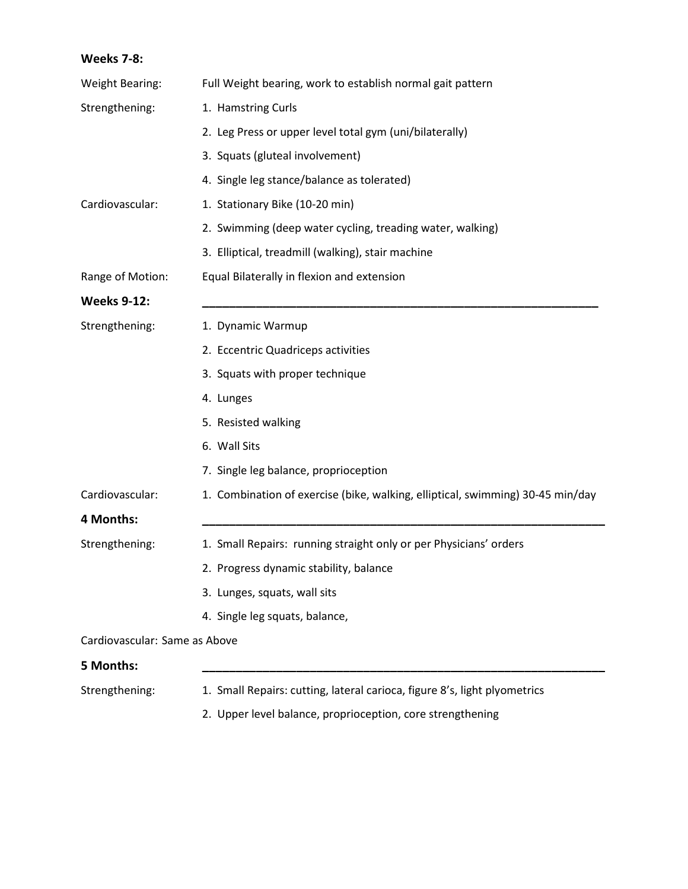# **Weeks 7-8:** Weight Bearing: Full Weight bearing, work to establish normal gait pattern Strengthening: 1. Hamstring Curls 2. Leg Press or upper level total gym (uni/bilaterally) 3. Squats (gluteal involvement) 4. Single leg stance/balance as tolerated) Cardiovascular: 1. Stationary Bike (10-20 min) 2. Swimming (deep water cycling, treading water, walking) 3. Elliptical, treadmill (walking), stair machine Range of Motion: Equal Bilaterally in flexion and extension **Weeks 9-12: \_\_\_\_\_\_\_\_\_\_\_\_\_\_\_\_\_\_\_\_\_\_\_\_\_\_\_\_\_\_\_\_\_\_\_\_\_\_\_\_\_\_\_\_\_\_\_\_\_\_\_\_\_\_\_\_\_\_\_** Strengthening: 1. Dynamic Warmup 2. Eccentric Quadriceps activities 3. Squats with proper technique 4. Lunges 5. Resisted walking 6. Wall Sits 7. Single leg balance, proprioception Cardiovascular: 1. Combination of exercise (bike, walking, elliptical, swimming) 30-45 min/day **4 Months: \_\_\_\_\_\_\_\_\_\_\_\_\_\_\_\_\_\_\_\_\_\_\_\_\_\_\_\_\_\_\_\_\_\_\_\_\_\_\_\_\_\_\_\_\_\_\_\_\_\_\_\_\_\_\_\_\_\_\_\_** Strengthening: 1. Small Repairs: running straight only or per Physicians' orders 2. Progress dynamic stability, balance 3. Lunges, squats, wall sits 4. Single leg squats, balance, Cardiovascular: Same as Above

#### **5 Months: \_\_\_\_\_\_\_\_\_\_\_\_\_\_\_\_\_\_\_\_\_\_\_\_\_\_\_\_\_\_\_\_\_\_\_\_\_\_\_\_\_\_\_\_\_\_\_\_\_\_\_\_\_\_\_\_\_\_\_\_**

Strengthening: 1. Small Repairs: cutting, lateral carioca, figure 8's, light plyometrics

2. Upper level balance, proprioception, core strengthening